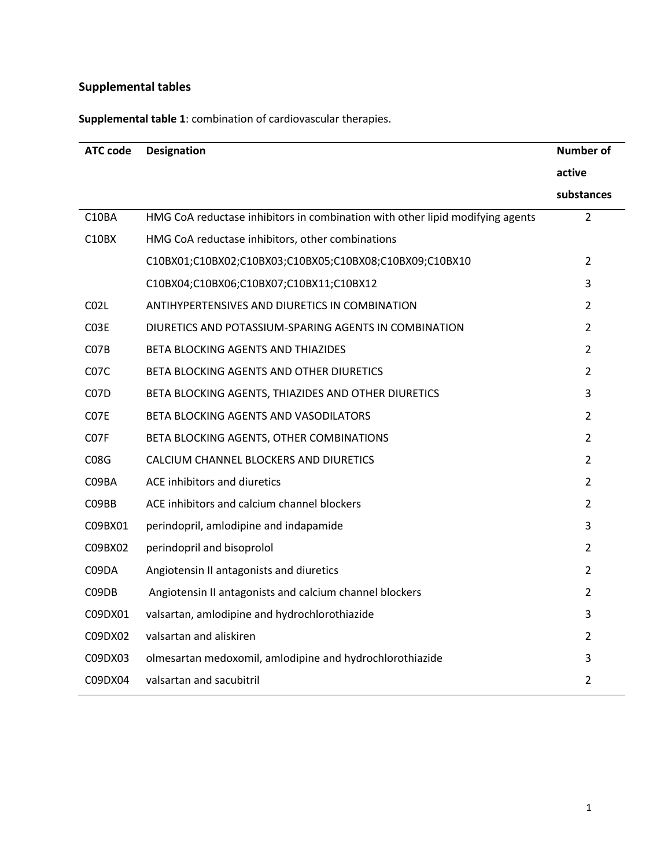## **Supplemental tables**

**Supplemental table 1**: combination of cardiovascular therapies.

| <b>ATC code</b>   | <b>Designation</b>                                                            | <b>Number of</b> |
|-------------------|-------------------------------------------------------------------------------|------------------|
|                   |                                                                               | active           |
|                   |                                                                               | substances       |
| C10BA             | HMG CoA reductase inhibitors in combination with other lipid modifying agents | $\overline{2}$   |
| C10BX             | HMG CoA reductase inhibitors, other combinations                              |                  |
|                   | C10BX01;C10BX02;C10BX03;C10BX05;C10BX08;C10BX09;C10BX10                       | $\overline{2}$   |
|                   | C10BX04;C10BX06;C10BX07;C10BX11;C10BX12                                       | 3                |
| CO <sub>2L</sub>  | ANTIHYPERTENSIVES AND DIURETICS IN COMBINATION                                | $\overline{2}$   |
| C <sub>03</sub> E | DIURETICS AND POTASSIUM-SPARING AGENTS IN COMBINATION                         | $\overline{2}$   |
| C <sub>07</sub> B | BETA BLOCKING AGENTS AND THIAZIDES                                            | $\overline{2}$   |
| C <sub>07</sub> C | BETA BLOCKING AGENTS AND OTHER DIURETICS                                      | $\overline{2}$   |
| C <sub>07</sub> D | BETA BLOCKING AGENTS, THIAZIDES AND OTHER DIURETICS                           | 3                |
| C07E              | BETA BLOCKING AGENTS AND VASODILATORS                                         | $\overline{2}$   |
| C <sub>07</sub> F | BETA BLOCKING AGENTS, OTHER COMBINATIONS                                      | $\overline{2}$   |
| C08G              | CALCIUM CHANNEL BLOCKERS AND DIURETICS                                        | $\overline{2}$   |
| C09BA             | ACE inhibitors and diuretics                                                  | $\overline{2}$   |
| C09BB             | ACE inhibitors and calcium channel blockers                                   | $\overline{2}$   |
| C09BX01           | perindopril, amlodipine and indapamide                                        | 3                |
| C09BX02           | perindopril and bisoprolol                                                    | $\overline{2}$   |
| C09DA             | Angiotensin II antagonists and diuretics                                      | $\overline{2}$   |
| C09DB             | Angiotensin II antagonists and calcium channel blockers                       | $\overline{2}$   |
| C09DX01           | valsartan, amlodipine and hydrochlorothiazide                                 | 3                |
| C09DX02           | valsartan and aliskiren                                                       | $\overline{2}$   |
| C09DX03           | olmesartan medoxomil, amlodipine and hydrochlorothiazide                      | 3                |
| C09DX04           | valsartan and sacubitril                                                      | $\overline{2}$   |